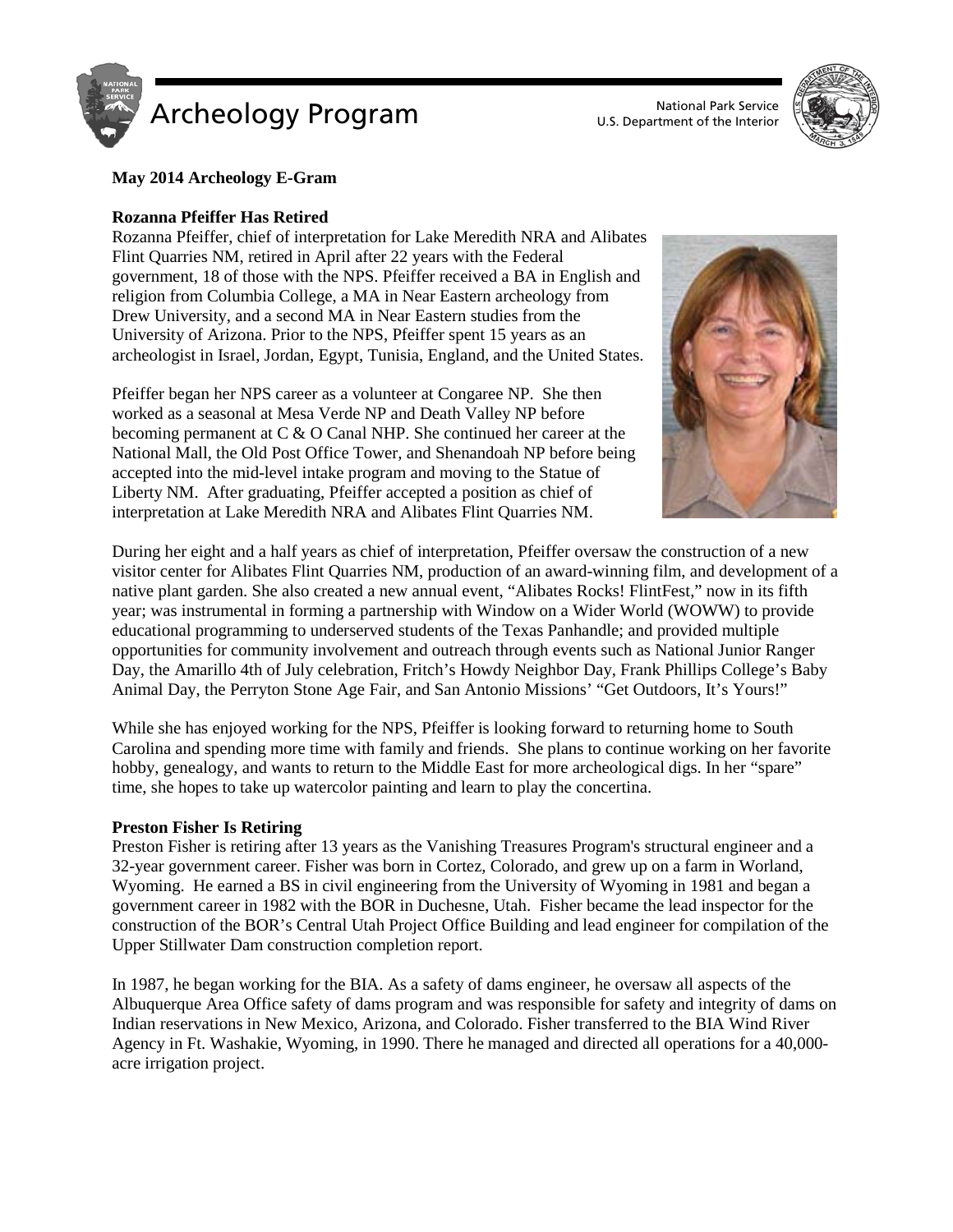

U.S. Department of the Interior



## **May 2014 Archeology E-Gram**

## **Rozanna Pfeiffer Has Retired**

Rozanna Pfeiffer, chief of interpretation for Lake Meredith NRA and Alibates Flint Quarries NM, retired in April after 22 years with the Federal government, 18 of those with the NPS. Pfeiffer received a BA in English and religion from Columbia College, a MA in Near Eastern archeology from Drew University, and a second MA in Near Eastern studies from the University of Arizona. Prior to the NPS, Pfeiffer spent 15 years as an archeologist in Israel, Jordan, Egypt, Tunisia, England, and the United States.

Pfeiffer began her NPS career as a volunteer at Congaree NP. She then worked as a seasonal at Mesa Verde NP and Death Valley NP before becoming permanent at C & O Canal NHP. She continued her career at the National Mall, the Old Post Office Tower, and Shenandoah NP before being accepted into the mid-level intake program and moving to the Statue of Liberty NM. After graduating, Pfeiffer accepted a position as chief of interpretation at Lake Meredith NRA and Alibates Flint Quarries NM.



During her eight and a half years as chief of interpretation, Pfeiffer oversaw the construction of a new visitor center for Alibates Flint Quarries NM, production of an award-winning film, and development of a native plant garden. She also created a new annual event, "Alibates Rocks! FlintFest," now in its fifth year; was instrumental in forming a partnership with Window on a Wider World (WOWW) to provide educational programming to underserved students of the Texas Panhandle; and provided multiple opportunities for community involvement and outreach through events such as National Junior Ranger Day, the Amarillo 4th of July celebration, Fritch's Howdy Neighbor Day, Frank Phillips College's Baby Animal Day, the Perryton Stone Age Fair, and San Antonio Missions' "Get Outdoors, It's Yours!"

While she has enjoyed working for the NPS, Pfeiffer is looking forward to returning home to South Carolina and spending more time with family and friends. She plans to continue working on her favorite hobby, genealogy, and wants to return to the Middle East for more archeological digs. In her "spare" time, she hopes to take up watercolor painting and learn to play the concertina.

#### **Preston Fisher Is Retiring**

Preston Fisher is retiring after 13 years as the Vanishing Treasures Program's structural engineer and a 32-year government career. Fisher was born in Cortez, Colorado, and grew up on a farm in Worland, Wyoming. He earned a BS in civil engineering from the University of Wyoming in 1981 and began a government career in 1982 with the BOR in Duchesne, Utah. Fisher became the lead inspector for the construction of the BOR's Central Utah Project Office Building and lead engineer for compilation of the Upper Stillwater Dam construction completion report.

In 1987, he began working for the BIA. As a safety of dams engineer, he oversaw all aspects of the Albuquerque Area Office safety of dams program and was responsible for safety and integrity of dams on Indian reservations in New Mexico, Arizona, and Colorado. Fisher transferred to the BIA Wind River Agency in Ft. Washakie, Wyoming, in 1990. There he managed and directed all operations for a 40,000 acre irrigation project.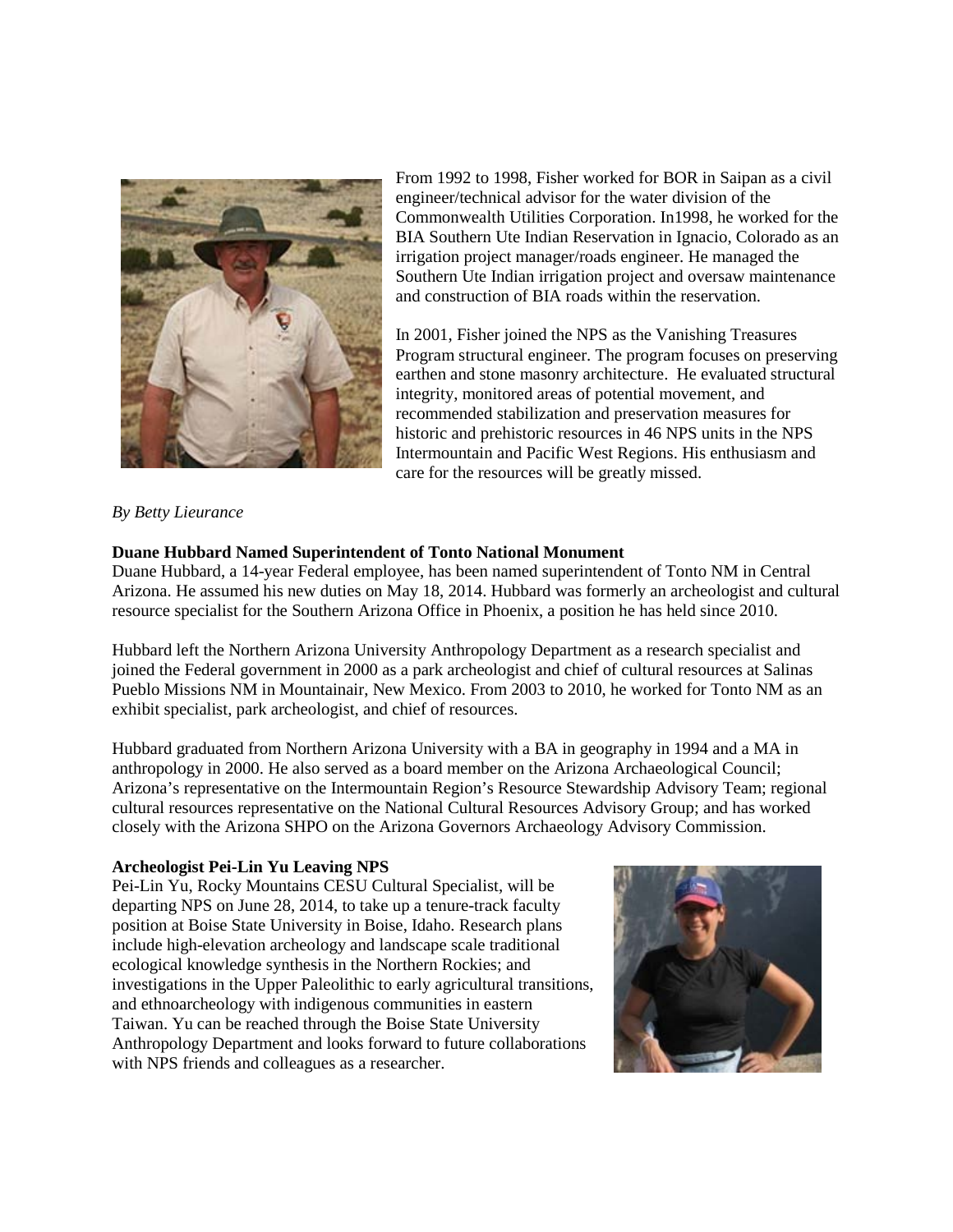

From 1992 to 1998, Fisher worked for BOR in Saipan as a civil engineer/technical advisor for the water division of the Commonwealth Utilities Corporation. In1998, he worked for the BIA Southern Ute Indian Reservation in Ignacio, Colorado as an irrigation project manager/roads engineer. He managed the Southern Ute Indian irrigation project and oversaw maintenance and construction of BIA roads within the reservation.

In 2001, Fisher joined the NPS as the Vanishing Treasures Program structural engineer. The program focuses on preserving earthen and stone masonry architecture. He evaluated structural integrity, monitored areas of potential movement, and recommended stabilization and preservation measures for historic and prehistoric resources in 46 NPS units in the NPS Intermountain and Pacific West Regions. His enthusiasm and care for the resources will be greatly missed.

*By Betty Lieurance*

# **Duane Hubbard Named Superintendent of Tonto National Monument**

Duane Hubbard, a 14-year Federal employee, has been named superintendent of Tonto NM in Central Arizona. He assumed his new duties on May 18, 2014. Hubbard was formerly an archeologist and cultural resource specialist for the Southern Arizona Office in Phoenix, a position he has held since 2010.

Hubbard left the Northern Arizona University Anthropology Department as a research specialist and joined the Federal government in 2000 as a park archeologist and chief of cultural resources at Salinas Pueblo Missions NM in Mountainair, New Mexico. From 2003 to 2010, he worked for Tonto NM as an exhibit specialist, park archeologist, and chief of resources.

Hubbard graduated from Northern Arizona University with a BA in geography in 1994 and a MA in anthropology in 2000. He also served as a board member on the Arizona Archaeological Council; Arizona's representative on the Intermountain Region's Resource Stewardship Advisory Team; regional cultural resources representative on the National Cultural Resources Advisory Group; and has worked closely with the Arizona SHPO on the Arizona Governors Archaeology Advisory Commission.

## **Archeologist Pei-Lin Yu Leaving NPS**

Pei-Lin Yu, Rocky Mountains CESU Cultural Specialist, will be departing NPS on June 28, 2014, to take up a tenure-track faculty position at Boise State University in Boise, Idaho. Research plans include high-elevation archeology and landscape scale traditional ecological knowledge synthesis in the Northern Rockies; and investigations in the Upper Paleolithic to early agricultural transitions, and ethnoarcheology with indigenous communities in eastern Taiwan. Yu can be reached through the Boise State University Anthropology Department and looks forward to future collaborations with NPS friends and colleagues as a researcher.

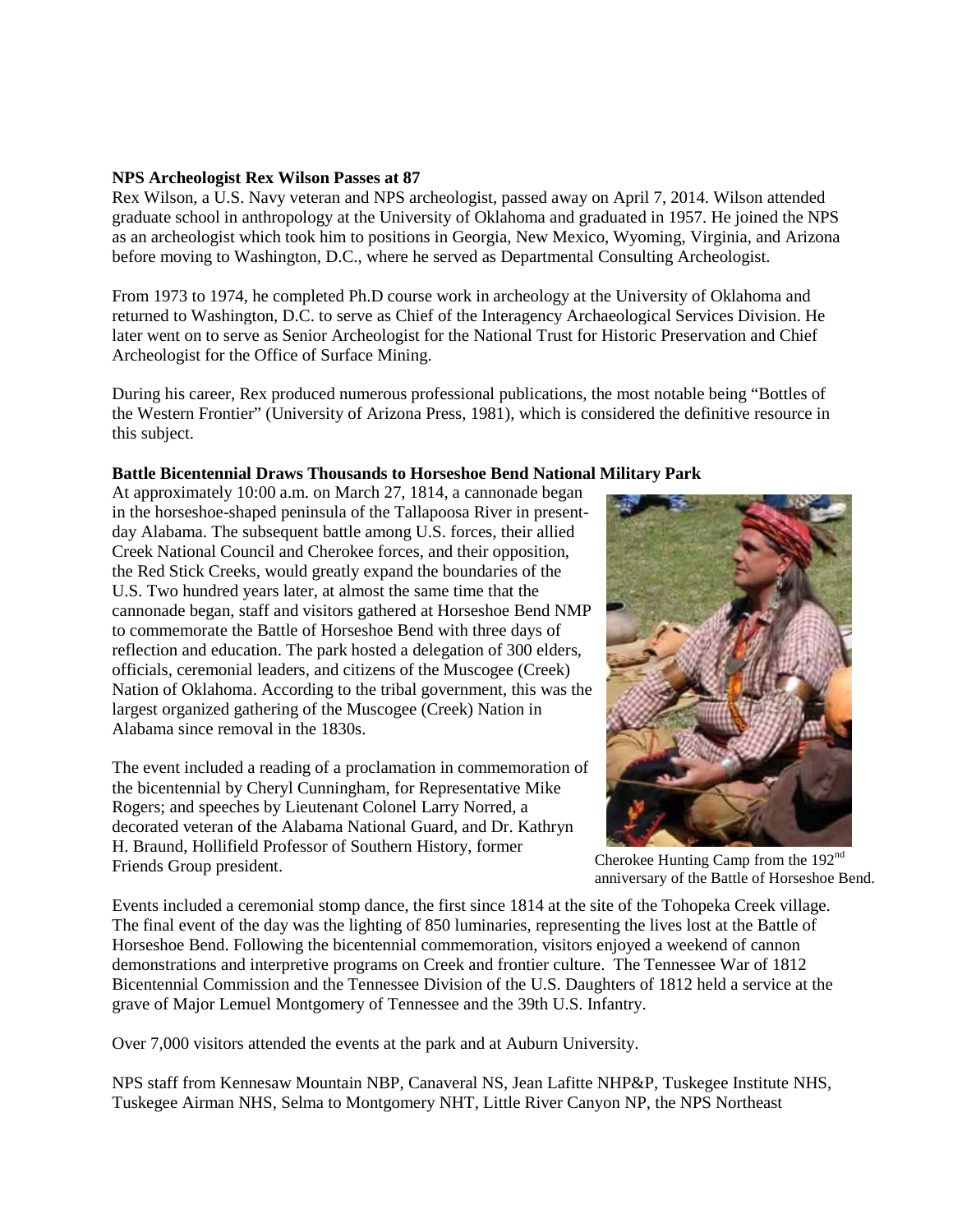#### **NPS Archeologist Rex Wilson Passes at 87**

Rex Wilson, a U.S. Navy veteran and NPS archeologist, passed away on April 7, 2014. Wilson attended graduate school in anthropology at the University of Oklahoma and graduated in 1957. He joined the NPS as an archeologist which took him to positions in Georgia, New Mexico, Wyoming, Virginia, and Arizona before moving to Washington, D.C., where he served as Departmental Consulting Archeologist.

From 1973 to 1974, he completed Ph.D course work in archeology at the University of Oklahoma and returned to Washington, D.C. to serve as Chief of the Interagency Archaeological Services Division. He later went on to serve as Senior Archeologist for the National Trust for Historic Preservation and Chief Archeologist for the Office of Surface Mining.

During his career, Rex produced numerous professional publications, the most notable being "Bottles of the Western Frontier" (University of Arizona Press, 1981), which is considered the definitive resource in this subject.

# **Battle Bicentennial Draws Thousands to Horseshoe Bend National Military Park**

At approximately 10:00 a.m. on March 27, 1814, a cannonade began in the horseshoe-shaped peninsula of the Tallapoosa River in presentday Alabama. The subsequent battle among U.S. forces, their allied Creek National Council and Cherokee forces, and their opposition, the Red Stick Creeks, would greatly expand the boundaries of the U.S. Two hundred years later, at almost the same time that the cannonade began, staff and visitors gathered at Horseshoe Bend NMP to commemorate the Battle of Horseshoe Bend with three days of reflection and education. The park hosted a delegation of 300 elders, officials, ceremonial leaders, and citizens of the Muscogee (Creek) Nation of Oklahoma. According to the tribal government, this was the largest organized gathering of the Muscogee (Creek) Nation in Alabama since removal in the 1830s.

The event included a reading of a proclamation in commemoration of the bicentennial by Cheryl Cunningham, for Representative Mike Rogers; and speeches by Lieutenant Colonel Larry Norred, a decorated veteran of the Alabama National Guard, and Dr. Kathryn H. Braund, Hollifield Professor of Southern History, former Friends Group president.



Cherokee Hunting Camp from the 192<sup>nd</sup> anniversary of the Battle of Horseshoe Bend.

Events included a ceremonial stomp dance, the first since 1814 at the site of the Tohopeka Creek village. The final event of the day was the lighting of 850 luminaries, representing the lives lost at the Battle of Horseshoe Bend. Following the bicentennial commemoration, visitors enjoyed a weekend of cannon demonstrations and interpretive programs on Creek and frontier culture. The Tennessee War of 1812 Bicentennial Commission and the Tennessee Division of the U.S. Daughters of 1812 held a service at the grave of Major Lemuel Montgomery of Tennessee and the 39th U.S. Infantry.

Over 7,000 visitors attended the events at the park and at Auburn University.

NPS staff from Kennesaw Mountain NBP, Canaveral NS, Jean Lafitte NHP&P, Tuskegee Institute NHS, Tuskegee Airman NHS, Selma to Montgomery NHT, Little River Canyon NP, the NPS Northeast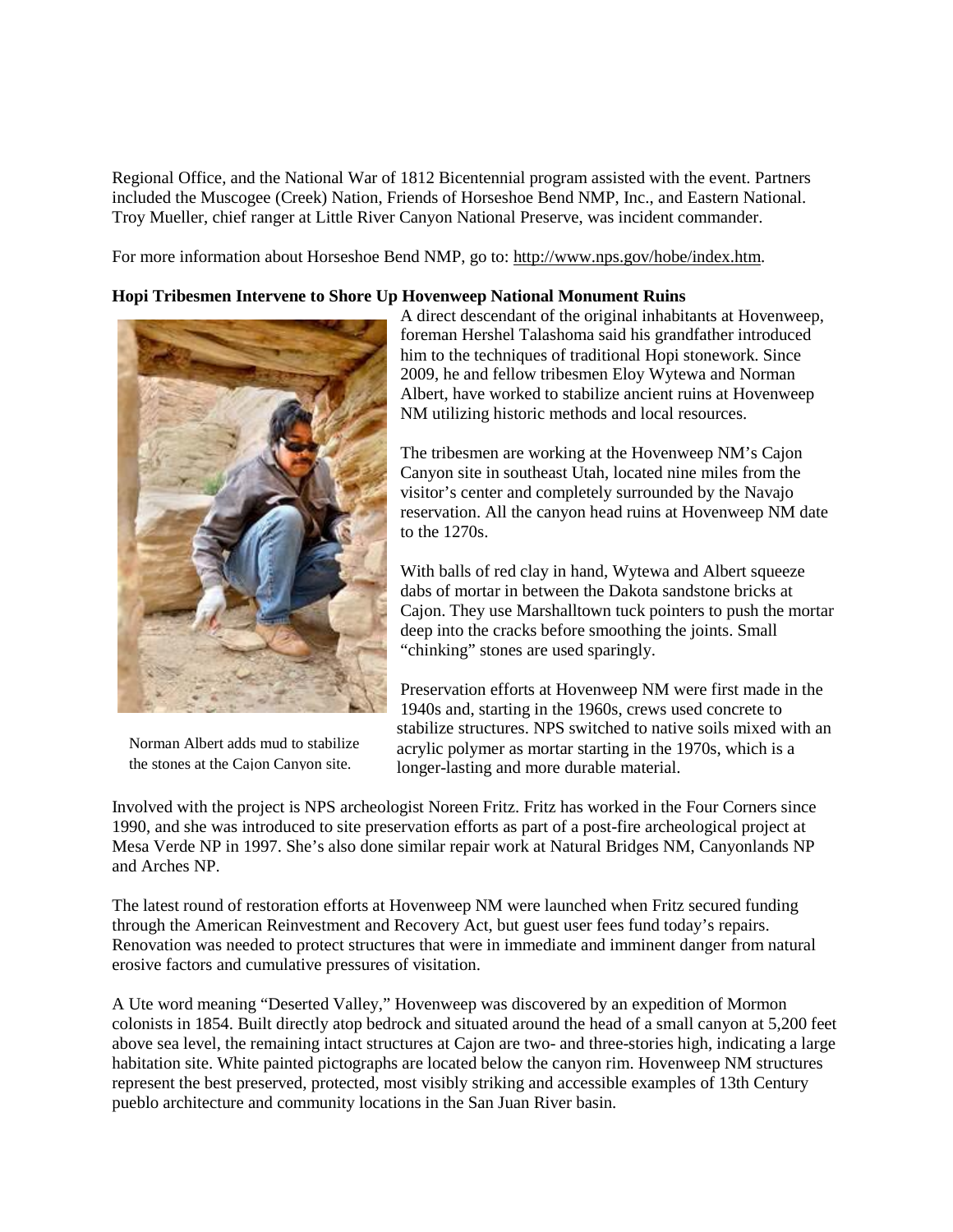Regional Office, and the National War of 1812 Bicentennial program assisted with the event. Partners included the Muscogee (Creek) Nation, Friends of Horseshoe Bend NMP, Inc., and Eastern National. Troy Mueller, chief ranger at Little River Canyon National Preserve, was incident commander.

For more information about Horseshoe Bend NMP, go to: [http://www.nps.gov/hobe/index.htm.](http://www.nps.gov/hobe/index.htm)

#### **Hopi Tribesmen Intervene to Shore Up Hovenweep National Monument Ruins**



Norman Albert adds mud to stabilize the stones at the Cajon Canyon site.

A direct descendant of the original inhabitants at Hovenweep, foreman Hershel Talashoma said his grandfather introduced him to the techniques of traditional Hopi stonework. Since 2009, he and fellow tribesmen Eloy Wytewa and Norman Albert, have worked to stabilize ancient ruins at Hovenweep NM utilizing historic methods and local resources.

The tribesmen are working at the Hovenweep NM's Cajon Canyon site in southeast Utah, located nine miles from the visitor's center and completely surrounded by the Navajo reservation. All the canyon head ruins at Hovenweep NM date to the 1270s.

With balls of red clay in hand, Wytewa and Albert squeeze dabs of mortar in between the Dakota sandstone bricks at Cajon. They use Marshalltown tuck pointers to push the mortar deep into the cracks before smoothing the joints. Small "chinking" stones are used sparingly.

Preservation efforts at Hovenweep NM were first made in the 1940s and, starting in the 1960s, crews used concrete to stabilize structures. NPS switched to native soils mixed with an acrylic polymer as mortar starting in the 1970s, which is a longer-lasting and more durable material.

Involved with the project is NPS archeologist Noreen Fritz. Fritz has worked in the Four Corners since 1990, and she was introduced to site preservation efforts as part of a post-fire archeological project at Mesa Verde NP in 1997. She's also done similar repair work at Natural Bridges NM, Canyonlands NP and Arches NP.

The latest round of restoration efforts at Hovenweep NM were launched when Fritz secured funding through the American Reinvestment and Recovery Act, but guest user fees fund today's repairs. Renovation was needed to protect structures that were in immediate and imminent danger from natural erosive factors and cumulative pressures of visitation.

A Ute word meaning "Deserted Valley," Hovenweep was discovered by an expedition of Mormon colonists in 1854. Built directly atop bedrock and situated around the head of a small canyon at 5,200 feet above sea level, the remaining intact structures at Cajon are two- and three-stories high, indicating a large habitation site. White painted pictographs are located below the canyon rim. Hovenweep NM structures represent the best preserved, protected, most visibly striking and accessible examples of 13th Century pueblo architecture and community locations in the San Juan River basin.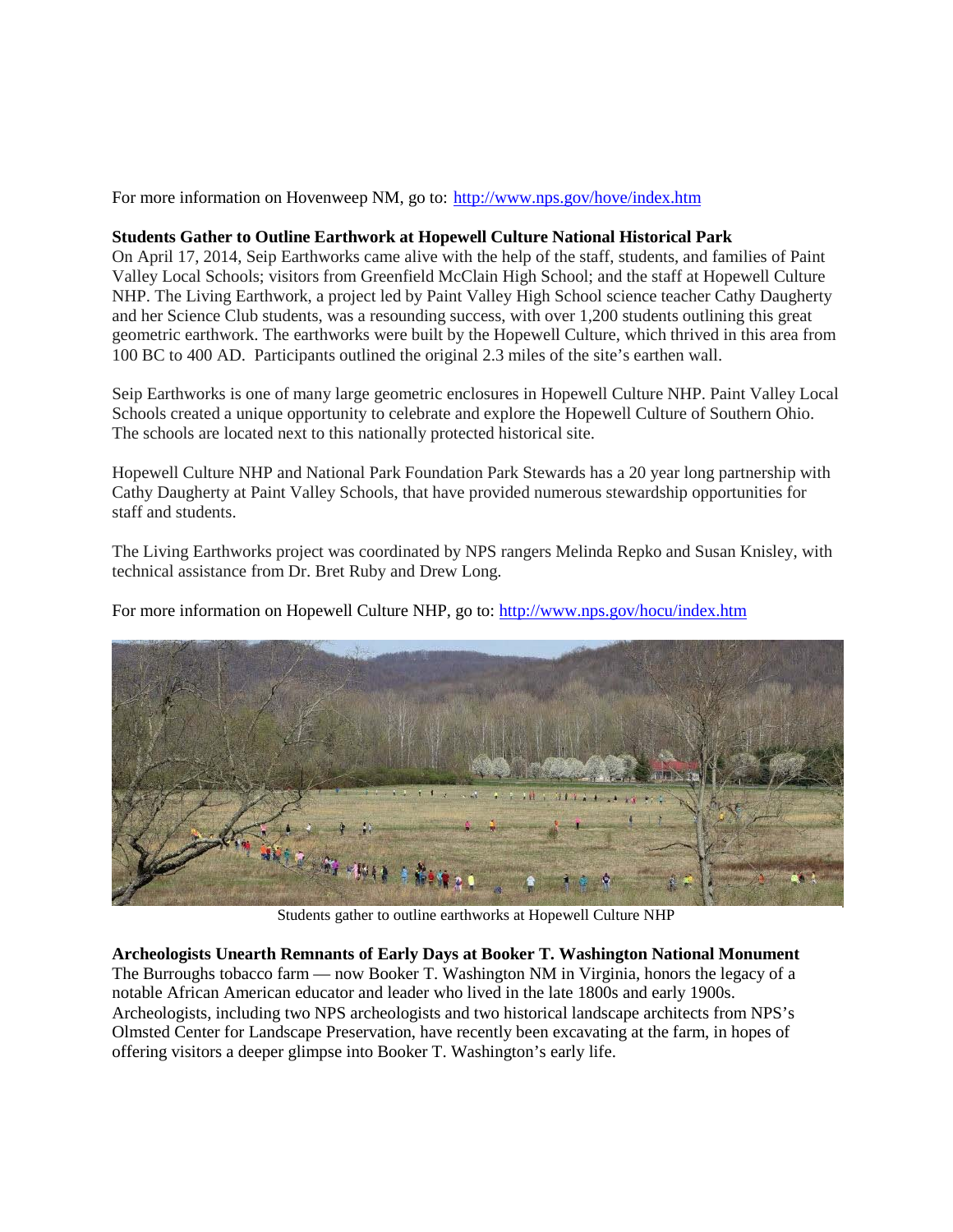For more information on Hovenweep NM, go to:<http://www.nps.gov/hove/index.htm>

### **Students Gather to Outline Earthwork at Hopewell Culture National Historical Park**

On April 17, 2014, Seip Earthworks came alive with the help of the staff, students, and families of Paint Valley Local Schools; visitors from Greenfield McClain High School; and the staff at Hopewell Culture NHP. The Living Earthwork, a project led by Paint Valley High School science teacher Cathy Daugherty and her Science Club students, was a resounding success, with over 1,200 students outlining this great geometric earthwork. The earthworks were built by the Hopewell Culture, which thrived in this area from 100 BC to 400 AD. Participants outlined the original 2.3 miles of the site's earthen wall.

Seip Earthworks is one of many large geometric enclosures in Hopewell Culture NHP. Paint Valley Local Schools created a unique opportunity to celebrate and explore the Hopewell Culture of Southern Ohio. The schools are located next to this nationally protected historical site.

Hopewell Culture NHP and National Park Foundation Park Stewards has a 20 year long partnership with Cathy Daugherty at Paint Valley Schools, that have provided numerous stewardship opportunities for staff and students.

The Living Earthworks project was coordinated by NPS rangers Melinda Repko and Susan Knisley, with technical assistance from Dr. Bret Ruby and Drew Long.

For more information on Hopewell Culture NHP, go to:<http://www.nps.gov/hocu/index.htm>



Students gather to outline earthworks at Hopewell Culture NHP

**Archeologists Unearth Remnants of Early Days at Booker T. Washington National Monument** The Burroughs tobacco farm — now Booker T. Washington NM in Virginia, honors the legacy of a notable African American educator and leader who lived in the late 1800s and early 1900s. Archeologists, including two NPS archeologists and two historical landscape architects from NPS's Olmsted Center for Landscape Preservation, have recently been excavating at the farm, in hopes of offering visitors a deeper glimpse into Booker T. Washington's early life.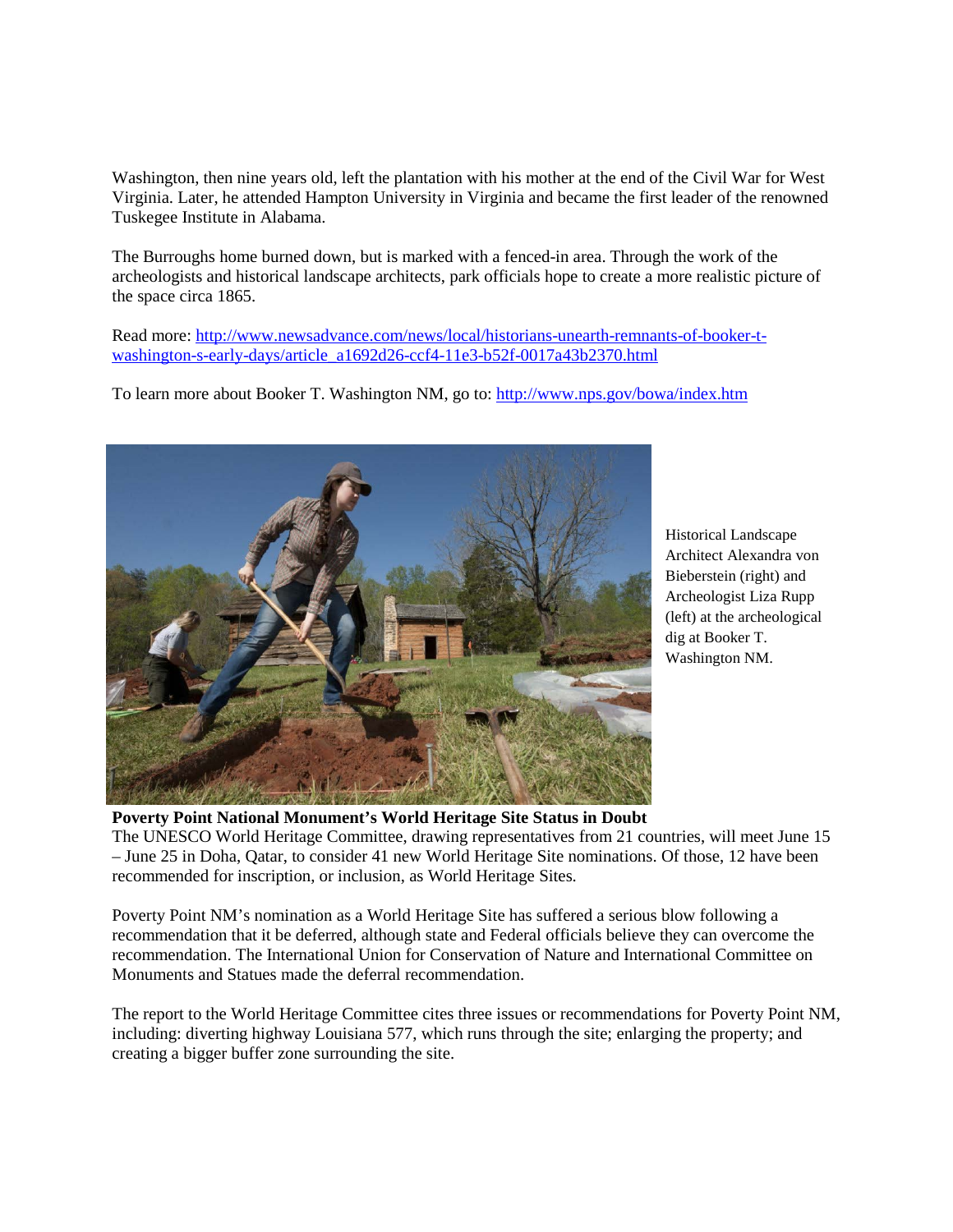Washington, then nine years old, left the plantation with his mother at the end of the Civil War for West Virginia. Later, he attended Hampton University in Virginia and became the first leader of the renowned Tuskegee Institute in Alabama.

The Burroughs home burned down, but is marked with a fenced-in area. Through the work of the archeologists and historical landscape architects, park officials hope to create a more realistic picture of the space circa 1865.

Read more: [http://www.newsadvance.com/news/local/historians-unearth-remnants-of-booker-t](http://www.newsadvance.com/news/local/historians-unearth-remnants-of-booker-t-washington-s-early-days/article_a1692d26-ccf4-11e3-b52f-0017a43b2370.html)[washington-s-early-days/article\\_a1692d26-ccf4-11e3-b52f-0017a43b2370.html](http://www.newsadvance.com/news/local/historians-unearth-remnants-of-booker-t-washington-s-early-days/article_a1692d26-ccf4-11e3-b52f-0017a43b2370.html)

To learn more about Booker T. Washington NM, go to:<http://www.nps.gov/bowa/index.htm>



Historical Landscape Architect Alexandra von Bieberstein (right) and Archeologist Liza Rupp (left) at the archeological dig at Booker T. Washington NM.

**Poverty Point National Monument's World Heritage Site Status in Doubt** The UNESCO World Heritage Committee, drawing representatives from 21 countries, will meet June 15 – June 25 in Doha, Qatar, to consider 41 new World Heritage Site nominations. Of those, 12 have been recommended for inscription, or inclusion, as World Heritage Sites.

Poverty Point NM's nomination as a World Heritage Site has suffered a serious blow following a recommendation that it be deferred, although state and Federal officials believe they can overcome the recommendation. The International Union for Conservation of Nature and International Committee on Monuments and Statues made the deferral recommendation.

The report to the World Heritage Committee cites three issues or recommendations for Poverty Point NM, including: diverting highway Louisiana 577, which runs through the site; enlarging the property; and creating a bigger buffer zone surrounding the site.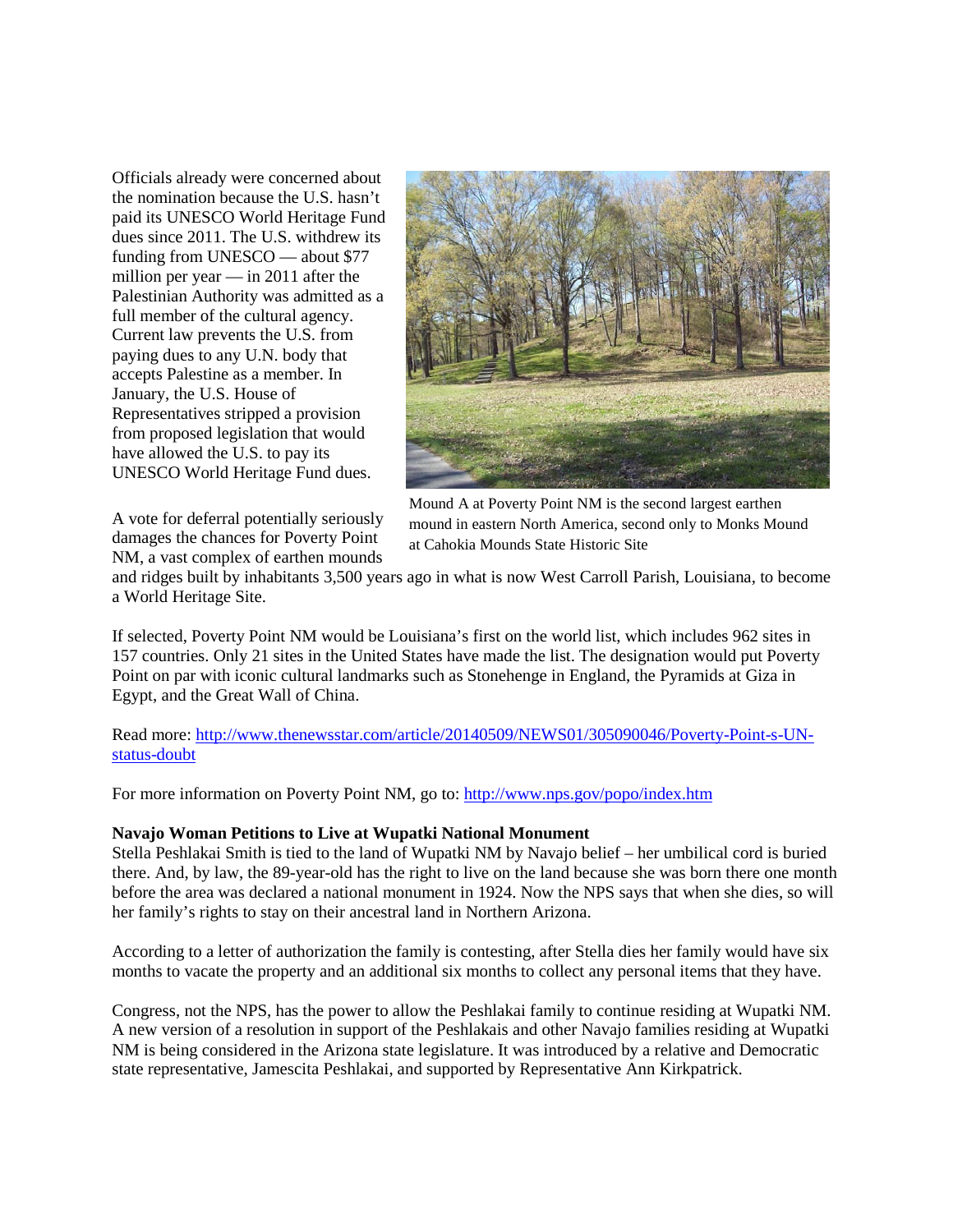Officials already were concerned about the nomination because the U.S. hasn't paid its UNESCO World Heritage Fund dues since 2011. The U.S. withdrew its funding from UNESCO — about \$77 million per year — in 2011 after the Palestinian Authority was admitted as a full member of the cultural agency. Current law prevents the U.S. from paying dues to any U.N. body that accepts Palestine as a member. In January, the U.S. House of Representatives stripped a provision from proposed legislation that would have allowed the U.S. to pay its UNESCO World Heritage Fund dues.



A vote for deferral potentially seriously damages the chances for Poverty Point NM, a vast complex of earthen mounds

Mound A at Poverty Point NM is the second largest earthen mound in eastern North America, second only to Monks Mound at Cahokia Mounds State Historic Site

and ridges built by inhabitants 3,500 years ago in what is now West Carroll Parish, Louisiana, to become a World Heritage Site.

If selected, Poverty Point NM would be Louisiana's first on the world list, which includes 962 sites in 157 countries. Only 21 sites in the United States have made the list. The designation would put Poverty Point on par with iconic cultural landmarks such as Stonehenge in England, the Pyramids at Giza in Egypt, and the Great Wall of China.

Read more: [http://www.thenewsstar.com/article/20140509/NEWS01/305090046/Poverty-Point-s-UN](http://www.thenewsstar.com/article/20140509/NEWS01/305090046/Poverty-Point-s-UN-status-doubt)[status-doubt](http://www.thenewsstar.com/article/20140509/NEWS01/305090046/Poverty-Point-s-UN-status-doubt)

For more information on Poverty Point NM, go to:<http://www.nps.gov/popo/index.htm>

## **Navajo Woman Petitions to Live at Wupatki National Monument**

Stella Peshlakai Smith is tied to the land of Wupatki NM by Navajo belief – her umbilical cord is buried there. And, by law, the 89-year-old has the right to live on the land because she was born there one month before the area was declared a national monument in 1924. Now the NPS says that when she dies, so will her family's rights to stay on their ancestral land in Northern Arizona.

According to a letter of authorization the family is contesting, after Stella dies her family would have six months to vacate the property and an additional six months to collect any personal items that they have.

Congress, not the NPS, has the power to allow the Peshlakai family to continue residing at Wupatki NM. A new version of a resolution in support of the Peshlakais and other Navajo families residing at Wupatki NM is being considered in the Arizona state legislature. It was introduced by a relative and Democratic state representative, Jamescita Peshlakai, and supported by Representative Ann Kirkpatrick.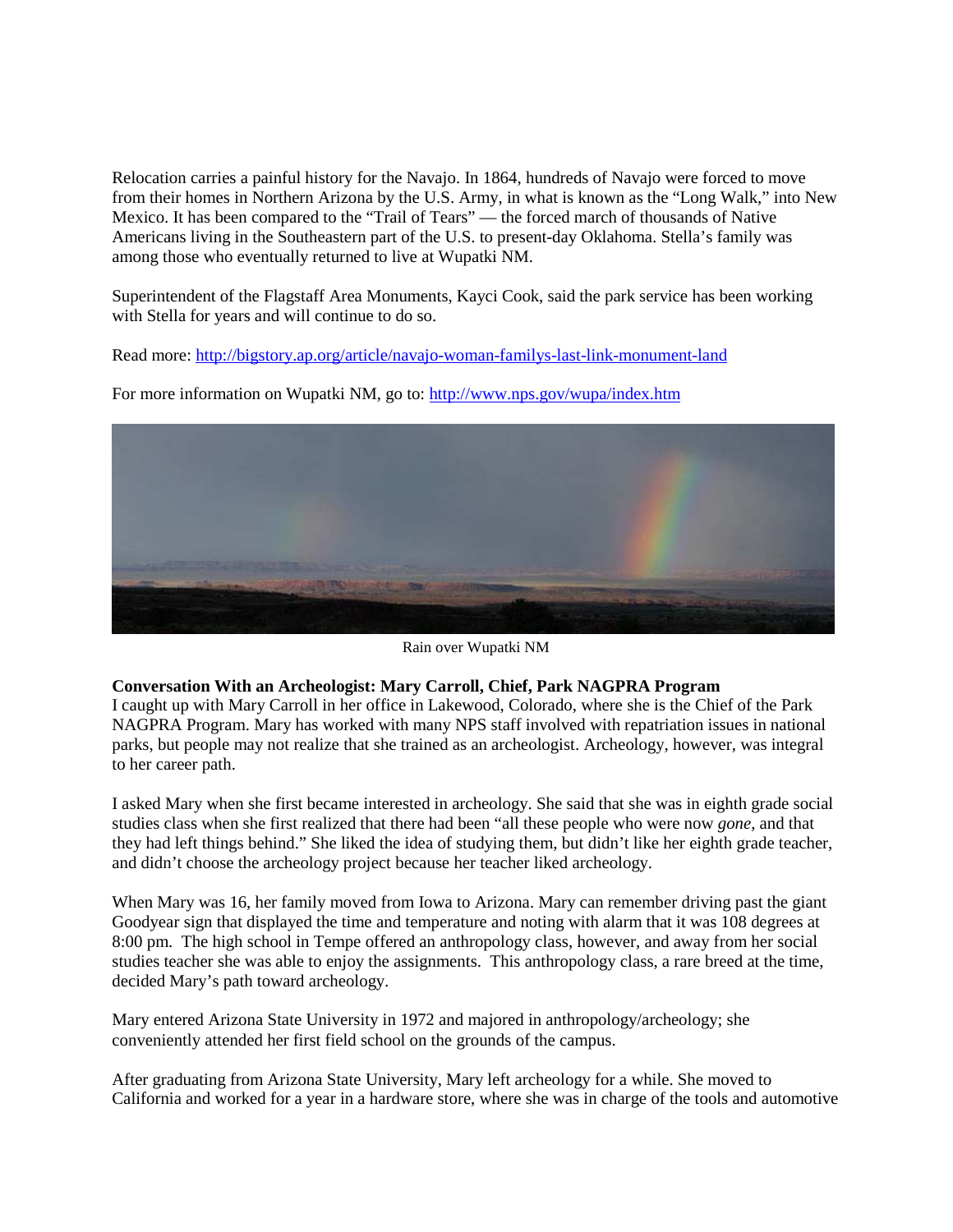Relocation carries a painful history for the Navajo. In 1864, hundreds of Navajo were forced to move from their homes in Northern Arizona by the U.S. Army, in what is known as the "Long Walk," into New Mexico. It has been compared to the "Trail of Tears" — the forced march of thousands of Native Americans living in the Southeastern part of the U.S. to present-day Oklahoma. Stella's family was among those who eventually returned to live at Wupatki NM.

Superintendent of the Flagstaff Area Monuments, Kayci Cook, said the park service has been working with Stella for years and will continue to do so.

Read more:<http://bigstory.ap.org/article/navajo-woman-familys-last-link-monument-land>

For more information on Wupatki NM, go to:<http://www.nps.gov/wupa/index.htm>

Rain over Wupatki NM

## **Conversation With an Archeologist: Mary Carroll, Chief, Park NAGPRA Program**

I caught up with Mary Carroll in her office in Lakewood, Colorado, where she is the Chief of the Park NAGPRA Program. Mary has worked with many NPS staff involved with repatriation issues in national parks, but people may not realize that she trained as an archeologist. Archeology, however, was integral to her career path.

I asked Mary when she first became interested in archeology. She said that she was in eighth grade social studies class when she first realized that there had been "all these people who were now *gone*, and that they had left things behind." She liked the idea of studying them, but didn't like her eighth grade teacher, and didn't choose the archeology project because her teacher liked archeology.

When Mary was 16, her family moved from Iowa to Arizona. Mary can remember driving past the giant Goodyear sign that displayed the time and temperature and noting with alarm that it was 108 degrees at 8:00 pm. The high school in Tempe offered an anthropology class, however, and away from her social studies teacher she was able to enjoy the assignments. This anthropology class, a rare breed at the time, decided Mary's path toward archeology.

Mary entered Arizona State University in 1972 and majored in anthropology/archeology; she conveniently attended her first field school on the grounds of the campus.

After graduating from Arizona State University, Mary left archeology for a while. She moved to California and worked for a year in a hardware store, where she was in charge of the tools and automotive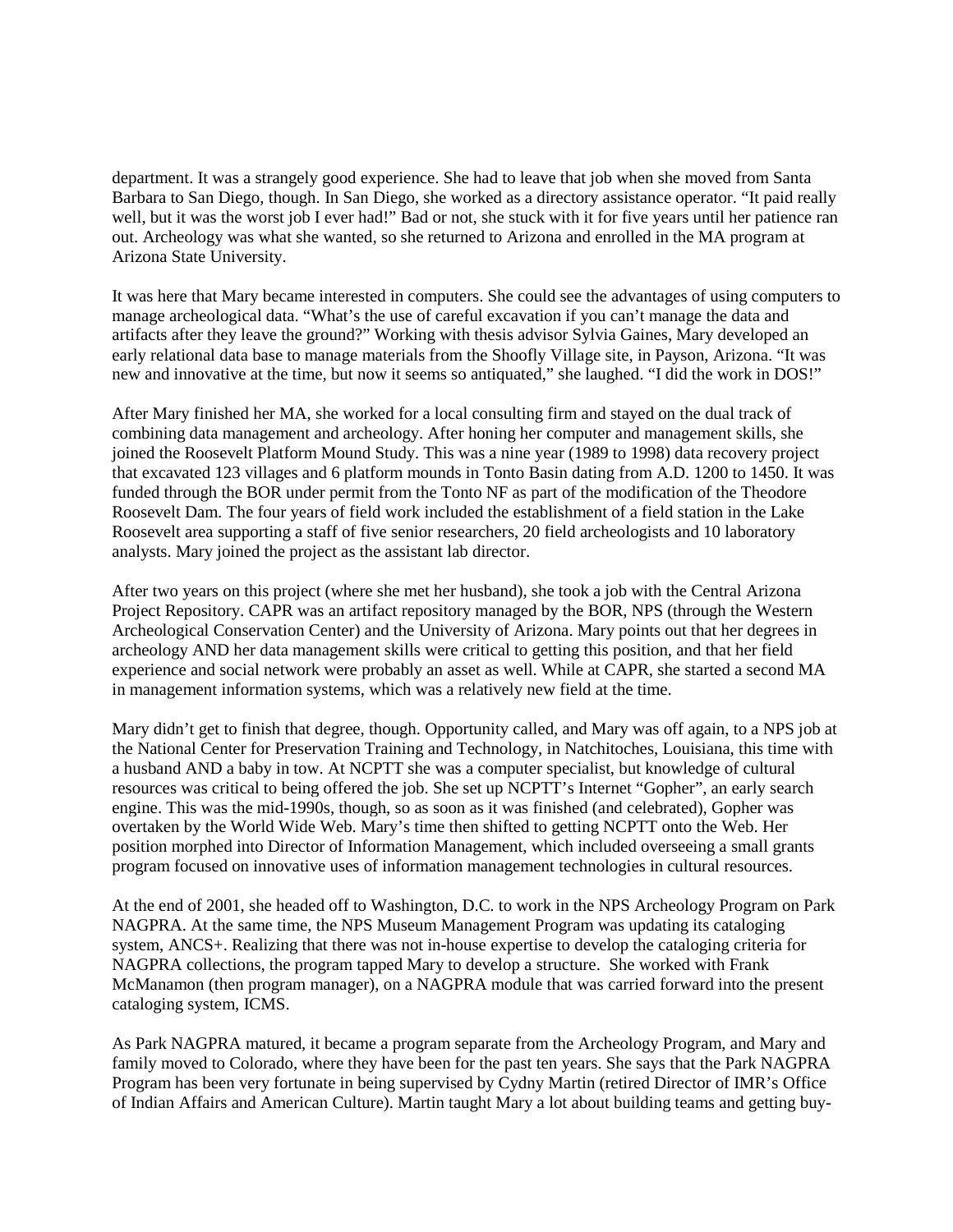department. It was a strangely good experience. She had to leave that job when she moved from Santa Barbara to San Diego, though. In San Diego, she worked as a directory assistance operator. "It paid really well, but it was the worst job I ever had!" Bad or not, she stuck with it for five years until her patience ran out. Archeology was what she wanted, so she returned to Arizona and enrolled in the MA program at Arizona State University.

It was here that Mary became interested in computers. She could see the advantages of using computers to manage archeological data. "What's the use of careful excavation if you can't manage the data and artifacts after they leave the ground?" Working with thesis advisor Sylvia Gaines, Mary developed an early relational data base to manage materials from the Shoofly Village site, in Payson, Arizona. "It was new and innovative at the time, but now it seems so antiquated," she laughed. "I did the work in DOS!"

After Mary finished her MA, she worked for a local consulting firm and stayed on the dual track of combining data management and archeology. After honing her computer and management skills, she joined the Roosevelt Platform Mound Study. This was a nine year (1989 to 1998) data recovery project that excavated 123 villages and 6 platform mounds in Tonto Basin dating from A.D. 1200 to 1450. It was funded through the BOR under permit from the Tonto NF as part of the modification of the Theodore Roosevelt Dam. The four years of field work included the establishment of a field station in the Lake Roosevelt area supporting a staff of five senior researchers, 20 field archeologists and 10 laboratory analysts. Mary joined the project as the assistant lab director.

After two years on this project (where she met her husband), she took a job with the Central Arizona Project Repository. CAPR was an artifact repository managed by the BOR, NPS (through the Western Archeological Conservation Center) and the University of Arizona. Mary points out that her degrees in archeology AND her data management skills were critical to getting this position, and that her field experience and social network were probably an asset as well. While at CAPR, she started a second MA in management information systems, which was a relatively new field at the time.

Mary didn't get to finish that degree, though. Opportunity called, and Mary was off again, to a NPS job at the National Center for Preservation Training and Technology, in Natchitoches, Louisiana, this time with a husband AND a baby in tow. At NCPTT she was a computer specialist, but knowledge of cultural resources was critical to being offered the job. She set up NCPTT's Internet "Gopher", an early search engine. This was the mid-1990s, though, so as soon as it was finished (and celebrated), Gopher was overtaken by the World Wide Web. Mary's time then shifted to getting NCPTT onto the Web. Her position morphed into Director of Information Management, which included overseeing a small grants program focused on innovative uses of information management technologies in cultural resources.

At the end of 2001, she headed off to Washington, D.C. to work in the NPS Archeology Program on Park NAGPRA. At the same time, the NPS Museum Management Program was updating its cataloging system, ANCS+. Realizing that there was not in-house expertise to develop the cataloging criteria for NAGPRA collections, the program tapped Mary to develop a structure. She worked with Frank McManamon (then program manager), on a NAGPRA module that was carried forward into the present cataloging system, ICMS.

As Park NAGPRA matured, it became a program separate from the Archeology Program, and Mary and family moved to Colorado, where they have been for the past ten years. She says that the Park NAGPRA Program has been very fortunate in being supervised by Cydny Martin (retired Director of IMR's Office of Indian Affairs and American Culture). Martin taught Mary a lot about building teams and getting buy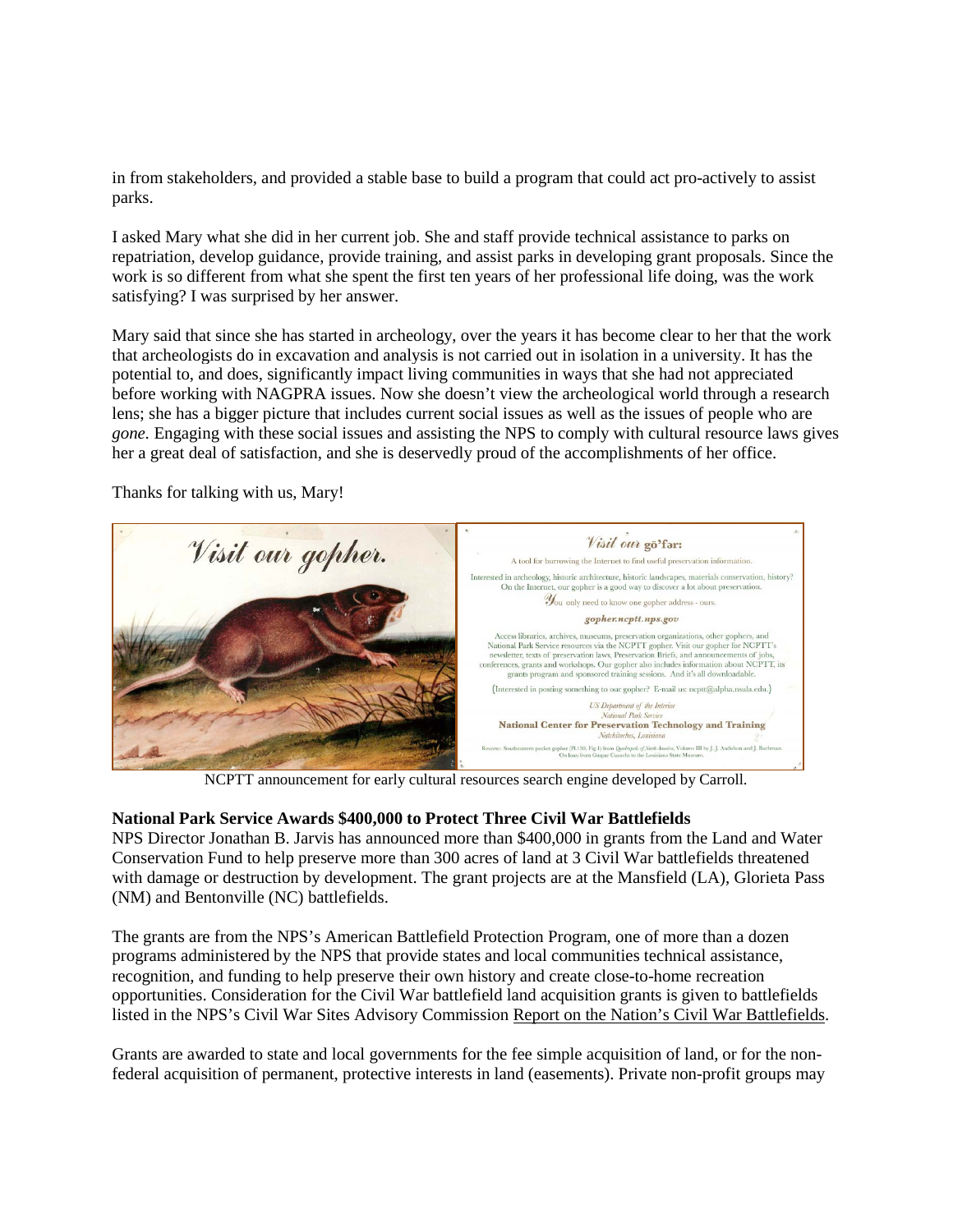in from stakeholders, and provided a stable base to build a program that could act pro-actively to assist parks.

I asked Mary what she did in her current job. She and staff provide technical assistance to parks on repatriation, develop guidance, provide training, and assist parks in developing grant proposals. Since the work is so different from what she spent the first ten years of her professional life doing, was the work satisfying? I was surprised by her answer.

Mary said that since she has started in archeology, over the years it has become clear to her that the work that archeologists do in excavation and analysis is not carried out in isolation in a university. It has the potential to, and does, significantly impact living communities in ways that she had not appreciated before working with NAGPRA issues. Now she doesn't view the archeological world through a research lens; she has a bigger picture that includes current social issues as well as the issues of people who are *gone.* Engaging with these social issues and assisting the NPS to comply with cultural resource laws gives her a great deal of satisfaction, and she is deservedly proud of the accomplishments of her office.

Thanks for talking with us, Mary!



NCPTT announcement for early cultural resources search engine developed by Carroll.

## **National Park Service Awards \$400,000 to Protect Three Civil War Battlefields**

NPS Director Jonathan B. Jarvis has announced more than \$400,000 in grants from the Land and Water Conservation Fund to help preserve more than 300 acres of land at 3 Civil War battlefields threatened with damage or destruction by development. The grant projects are at the Mansfield (LA), Glorieta Pass (NM) and Bentonville (NC) battlefields.

The grants are from the NPS's American Battlefield Protection Program, one of more than a dozen programs administered by the NPS that provide states and local communities technical assistance, recognition, and funding to help preserve their own history and create close-to-home recreation opportunities. Consideration for the Civil War battlefield land acquisition grants is given to battlefields listed in the NPS's Civil War Sites Advisory Commission [Report on the Nation's Civil War Battlefields.](http://www.nps.gov/hps/abpp/cwsac/cws0-1.html)

Grants are awarded to state and local governments for the fee simple acquisition of land, or for the nonfederal acquisition of permanent, protective interests in land (easements). Private non-profit groups may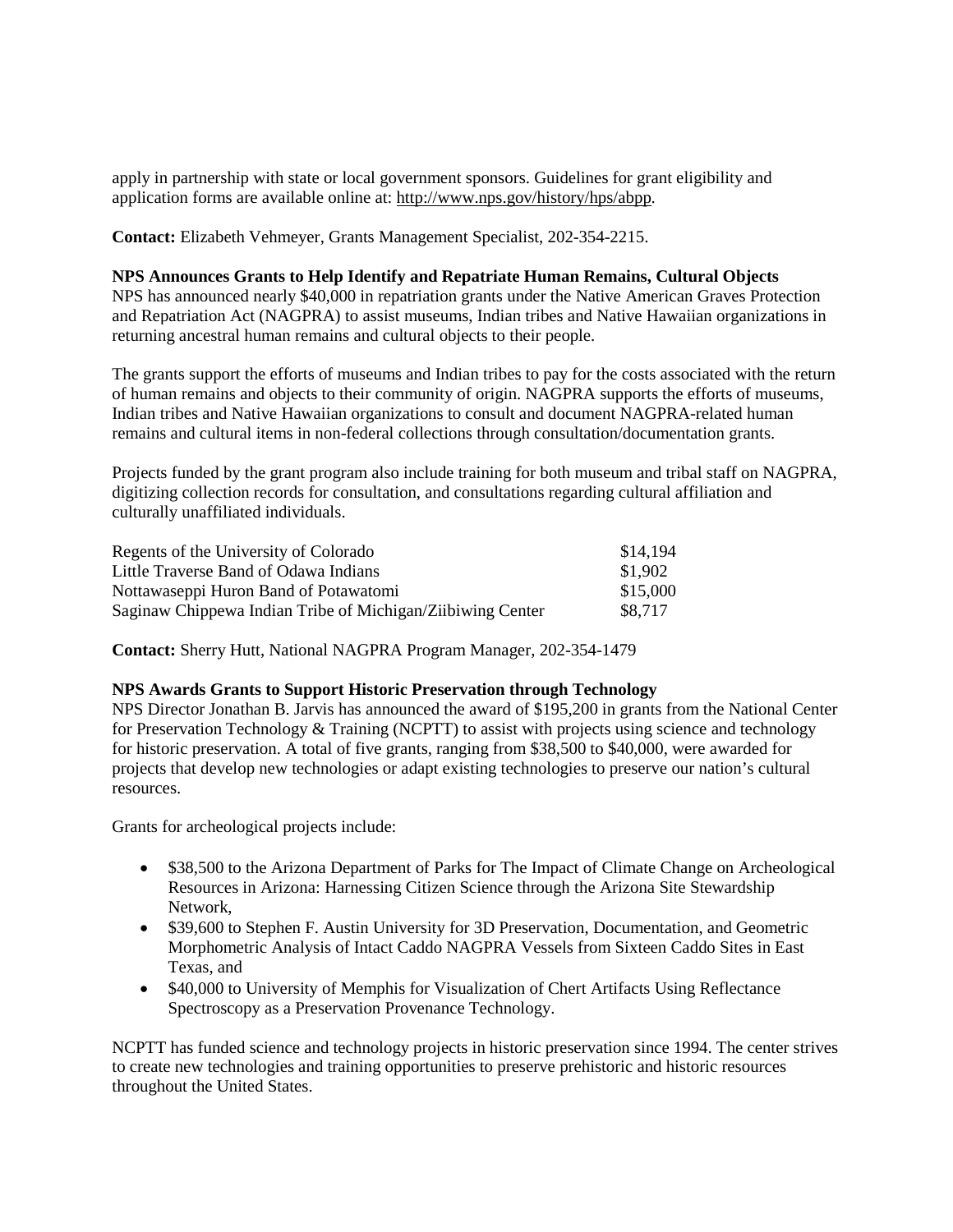apply in partnership with state or local government sponsors. Guidelines for grant eligibility and application forms are available online at: [http://www.nps.gov/history/hps/abpp.](http://www.nps.gov/history/hps/abpp)

**Contact:** Elizabeth Vehmeyer, Grants Management Specialist, 202-354-2215.

#### **NPS Announces Grants to Help Identify and Repatriate Human Remains, Cultural Objects**

NPS has announced nearly \$40,000 in repatriation grants under the Native American Graves Protection and Repatriation Act (NAGPRA) to assist museums, Indian tribes and Native Hawaiian organizations in returning ancestral human remains and cultural objects to their people.

The grants support the efforts of museums and Indian tribes to pay for the costs associated with the return of human remains and objects to their community of origin. NAGPRA supports the efforts of museums, Indian tribes and Native Hawaiian organizations to consult and document NAGPRA-related human remains and cultural items in non-federal collections through consultation/documentation grants.

Projects funded by the grant program also include training for both museum and tribal staff on NAGPRA, digitizing collection records for consultation, and consultations regarding cultural affiliation and culturally unaffiliated individuals.

| Regents of the University of Colorado                      | \$14,194 |
|------------------------------------------------------------|----------|
| Little Traverse Band of Odawa Indians                      | \$1,902  |
| Nottawaseppi Huron Band of Potawatomi                      | \$15,000 |
| Saginaw Chippewa Indian Tribe of Michigan/Ziibiwing Center | \$8.717  |

**Contact:** Sherry Hutt, National NAGPRA Program Manager, 202-354-1479

#### **NPS Awards Grants to Support Historic Preservation through Technology**

NPS Director Jonathan B. Jarvis has announced the award of \$195,200 in grants from the National Center for Preservation Technology  $&$  Training (NCPTT) to assist with projects using science and technology for historic preservation. A total of five grants, ranging from \$38,500 to \$40,000, were awarded for projects that develop new technologies or adapt existing technologies to preserve our nation's cultural resources.

Grants for archeological projects include:

- \$38,500 to the Arizona Department of Parks for The Impact of Climate Change on Archeological Resources in Arizona: Harnessing Citizen Science through the Arizona Site Stewardship Network,
- \$39,600 to Stephen F. Austin University for 3D Preservation, Documentation, and Geometric Morphometric Analysis of Intact Caddo NAGPRA Vessels from Sixteen Caddo Sites in East Texas, and
- \$40,000 to University of Memphis for Visualization of Chert Artifacts Using Reflectance Spectroscopy as a Preservation Provenance Technology.

NCPTT has funded science and technology projects in historic preservation since 1994. The center strives to create new technologies and training opportunities to preserve prehistoric and historic resources throughout the United States.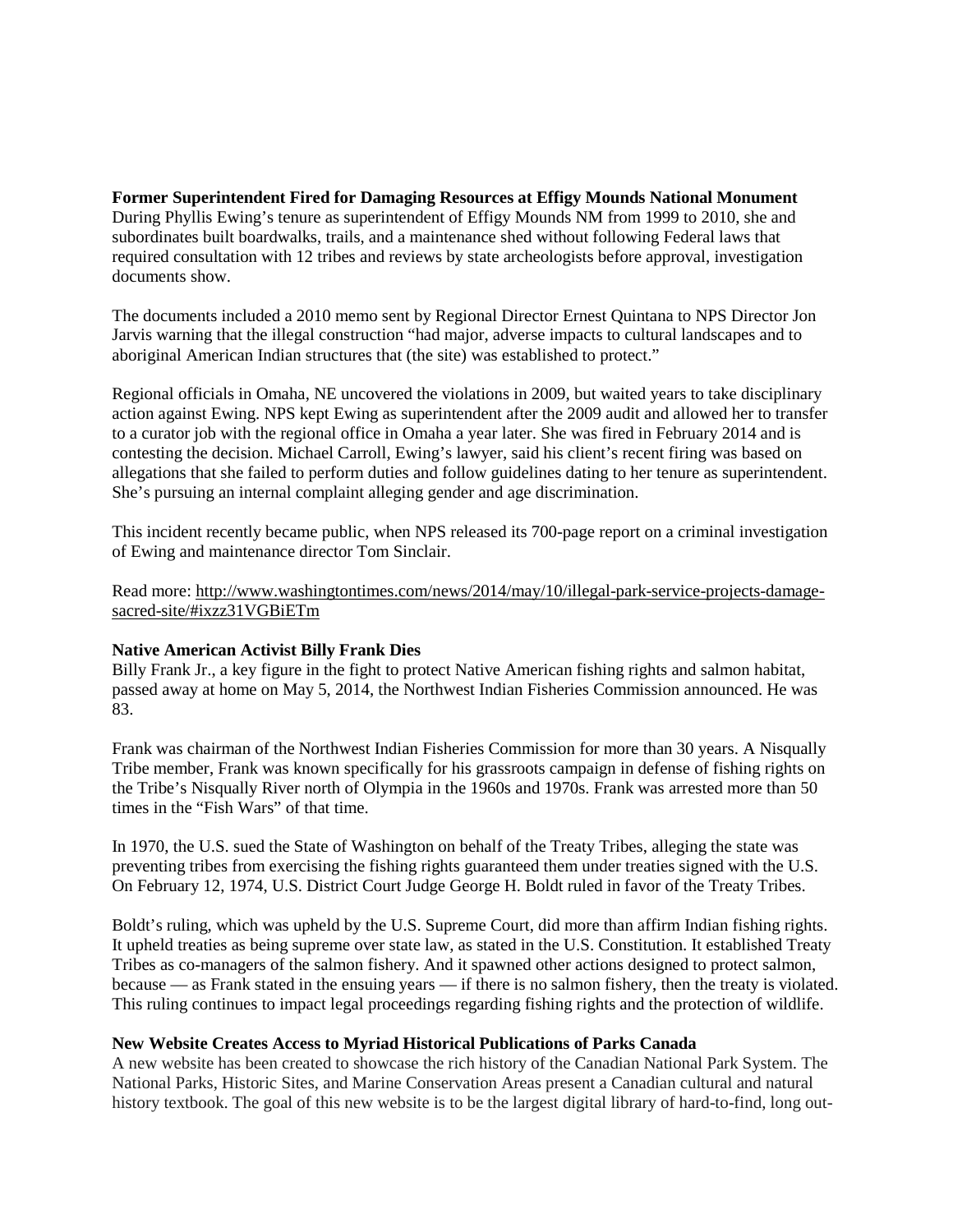**Former Superintendent Fired for Damaging Resources at Effigy Mounds National Monument** During Phyllis Ewing's tenure as superintendent of Effigy Mounds NM from 1999 to 2010, she and subordinates built boardwalks, trails, and a maintenance shed without following Federal laws that required consultation with 12 tribes and reviews by state archeologists before approval, investigation documents show.

The documents included a 2010 memo sent by Regional Director Ernest Quintana to NPS Director Jon Jarvis warning that the illegal construction "had major, adverse impacts to cultural landscapes and to aboriginal American Indian structures that (the site) was established to protect."

Regional officials in Omaha, NE uncovered the violations in 2009, but waited years to take disciplinary action against Ewing. NPS kept Ewing as superintendent after the 2009 audit and allowed her to transfer to a curator job with the regional office in Omaha a year later. She was fired in February 2014 and is contesting the decision. Michael Carroll, Ewing's lawyer, said his client's recent firing was based on allegations that she failed to perform duties and follow guidelines dating to her tenure as superintendent. She's pursuing an internal complaint alleging gender and age discrimination.

This incident recently became public, when NPS released its 700-page report on a criminal investigation of Ewing and maintenance director Tom Sinclair.

Read more: [http://www.washingtontimes.com/news/2014/may/10/illegal-park-service-projects-damage](http://www.washingtontimes.com/news/2014/may/10/illegal-park-service-projects-damage-sacred-site/#ixzz31VGBiETm)[sacred-site/#ixzz31VGBiETm](http://www.washingtontimes.com/news/2014/may/10/illegal-park-service-projects-damage-sacred-site/#ixzz31VGBiETm) 

#### **Native American Activist Billy Frank Dies**

Billy Frank Jr., a key figure in the fight to protect Native American fishing rights and salmon habitat, passed away at home on May 5, 2014, the Northwest Indian Fisheries Commission announced. He was 83.

Frank was chairman of the Northwest Indian Fisheries Commission for more than 30 years. A Nisqually Tribe member, Frank was known specifically for his grassroots campaign in defense of fishing rights on the Tribe's Nisqually River north of Olympia in the 1960s and 1970s. Frank was arrested more than 50 times in the "Fish Wars" of that time.

In 1970, the U.S. sued the State of Washington on behalf of the Treaty Tribes, alleging the state was preventing tribes from exercising the fishing rights guaranteed them under treaties signed with the U.S. On February 12, 1974, U.S. District Court Judge George H. Boldt ruled in favor of the Treaty Tribes.

Boldt's ruling, which was upheld by the U.S. Supreme Court, did more than affirm Indian fishing rights. It upheld treaties as being supreme over state law, as stated in the U.S. Constitution. It established Treaty Tribes as co-managers of the salmon fishery. And it spawned other actions designed to protect salmon, because — as Frank stated in the ensuing years — if there is no salmon fishery, then the treaty is violated. This ruling continues to impact legal proceedings regarding fishing rights and the protection of wildlife.

#### **New Website Creates Access to Myriad Historical Publications of Parks Canada**

A new website has been created to showcase the rich history of the Canadian National Park System. The National Parks, Historic Sites, and Marine Conservation Areas present a Canadian cultural and natural history textbook. The goal of this new website is to be the largest digital library of hard-to-find, long out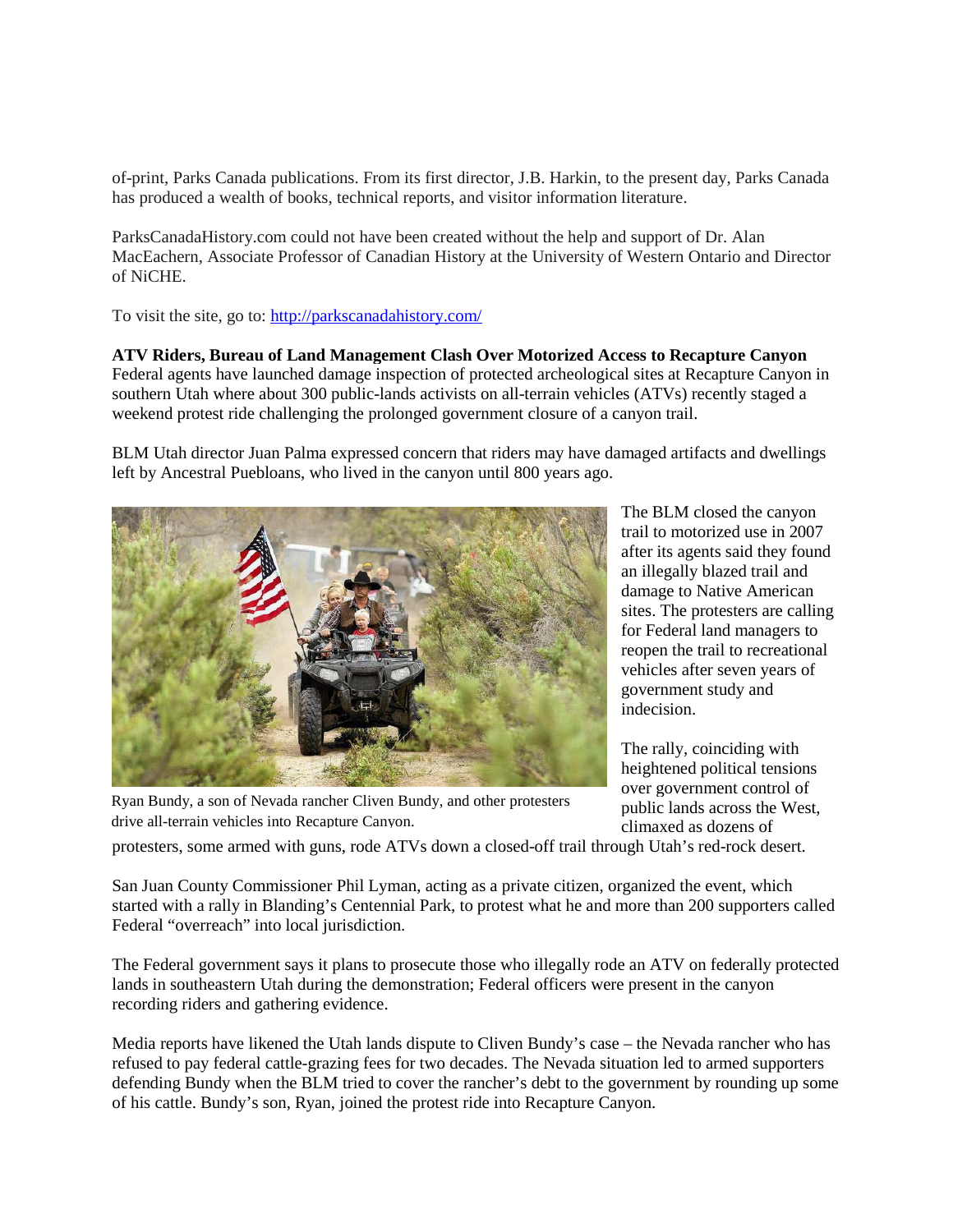of-print, Parks Canada publications. From its first director, J.B. Harkin, to the present day, Parks Canada has produced a wealth of books, technical reports, and visitor information literature.

ParksCanadaHistory.com could not have been created without the help and support of Dr. Alan MacEachern, Associate Professor of Canadian History at the University of Western Ontario and Director of NiCHE.

To visit the site, go to[: http://parkscanadahistory.com/](http://parkscanadahistory.com/)

**ATV Riders, Bureau of Land Management Clash Over Motorized Access to Recapture Canyon** Federal agents have launched damage inspection of protected archeological sites at Recapture Canyon in southern Utah where about 300 public-lands activists on all-terrain vehicles (ATVs) recently staged a weekend protest ride challenging the prolonged government closure of a canyon trail.

BLM Utah director Juan Palma expressed concern that riders may have damaged artifacts and dwellings left by Ancestral Puebloans, who lived in the canyon until 800 years ago.



Ryan Bundy, a son of Nevada rancher Cliven Bundy, and other protesters drive all-terrain vehicles into Recapture Canyon.

The BLM closed the canyon trail to motorized use in 2007 after its agents said they found an illegally blazed trail and damage to Native American sites. The protesters are calling for Federal land managers to reopen the trail to recreational vehicles after seven years of government study and indecision.

The rally, coinciding with heightened political tensions over government control of public lands across the West, climaxed as dozens of

protesters, some armed with guns, rode ATVs down a closed-off trail through Utah's red-rock desert.

San Juan County Commissioner Phil Lyman, acting as a private citizen, organized the event, which started with a rally in Blanding's Centennial Park, to protest what he and more than 200 supporters called Federal "overreach" into local jurisdiction.

The Federal government says it plans to prosecute those who illegally rode an ATV on federally protected lands in southeastern Utah during the demonstration; Federal officers were present in the canyon recording riders and gathering evidence.

Media reports have likened the Utah lands dispute to Cliven Bundy's case – the Nevada rancher who has refused to pay federal cattle-grazing fees for two decades. The Nevada situation led to armed supporters defending Bundy when the BLM tried to cover the rancher's debt to the government by rounding up some of his cattle. Bundy's son, Ryan, joined the protest ride into Recapture Canyon.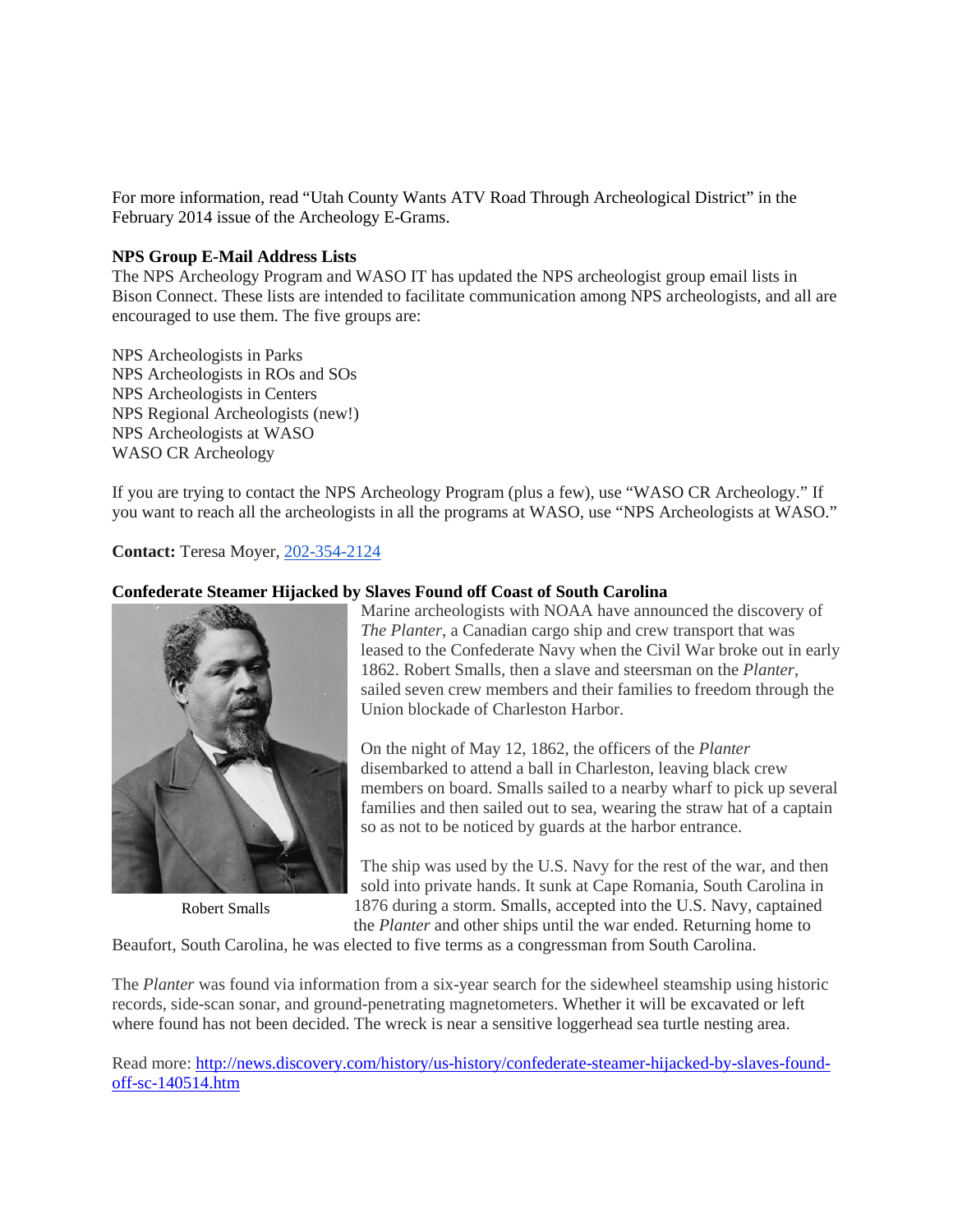For more information, read "Utah County Wants ATV Road Through Archeological District" in the February 2014 issue of the Archeology E-Grams.

## **NPS Group E-Mail Address Lists**

The NPS Archeology Program and WASO IT has updated the NPS archeologist group email lists in Bison Connect. These lists are intended to facilitate communication among NPS archeologists, and all are encouraged to use them. The five groups are:

NPS Archeologists in Parks NPS Archeologists in ROs and SOs NPS Archeologists in Centers NPS Regional Archeologists (new!) NPS Archeologists at WASO WASO CR Archeology

If you are trying to contact the NPS Archeology Program (plus a few), use "WASO CR Archeology." If you want to reach all the archeologists in all the programs at WASO, use "NPS Archeologists at WASO."

**Contact:** Teresa Moyer[, 202-354-2124](tel:202-354-2124)

#### **Confederate Steamer Hijacked by Slaves Found off Coast of South Carolina**



Robert Smalls

Marine archeologists with NOAA have announced the discovery of *The Planter*, a Canadian cargo ship and crew transport that was leased to the Confederate Navy when the Civil War broke out in early 1862. Robert Smalls, then a slave and steersman on the *Planter*, sailed seven crew members and their families to freedom through the Union blockade of Charleston Harbor.

On the night of May 12, 1862, the officers of the *Planter* disembarked to attend a ball in Charleston, leaving black crew members on board. Smalls sailed to a nearby wharf to pick up several families and then sailed out to sea, wearing the straw hat of a captain so as not to be noticed by guards at the harbor entrance.

The ship was used by the U.S. Navy for the rest of the war, and then sold into private hands. It sunk at Cape Romania, South Carolina in 1876 during a storm. Smalls, accepted into the U.S. Navy, captained the *Planter* and other ships until the war ended. Returning home to

Beaufort, South Carolina, he was elected to five terms as a congressman from South Carolina.

The *Planter* was found via information from a six-year search for the sidewheel steamship using historic records, side-scan sonar, and ground-penetrating magnetometers. Whether it will be excavated or left where found has not been decided. The wreck is near a sensitive loggerhead sea turtle nesting area.

Read more: [http://news.discovery.com/history/us-history/confederate-steamer-hijacked-by-slaves-found](http://news.discovery.com/history/us-history/confederate-steamer-hijacked-by-slaves-found-off-sc-140514.htm)[off-sc-140514.htm](http://news.discovery.com/history/us-history/confederate-steamer-hijacked-by-slaves-found-off-sc-140514.htm)